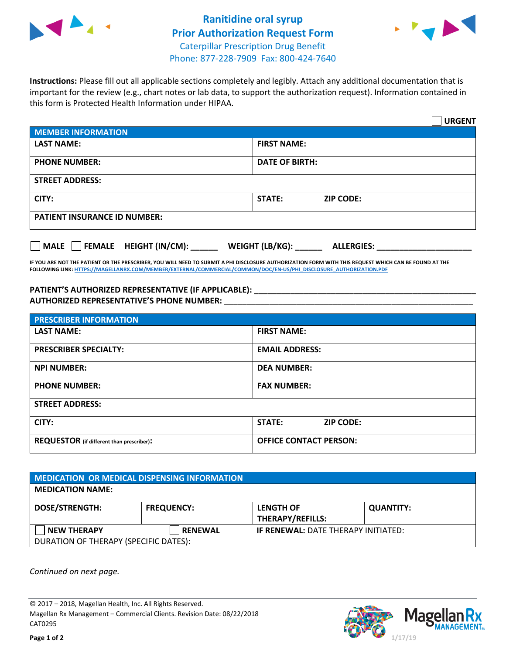



**Instructions:** Please fill out all applicable sections completely and legibly. Attach any additional documentation that is important for the review (e.g., chart notes or lab data, to support the authorization request). Information contained in this form is Protected Health Information under HIPAA.

|                                     |                                      | <b>URGENT</b> |
|-------------------------------------|--------------------------------------|---------------|
| <b>MEMBER INFORMATION</b>           |                                      |               |
| <b>LAST NAME:</b>                   | <b>FIRST NAME:</b>                   |               |
| <b>PHONE NUMBER:</b>                | <b>DATE OF BIRTH:</b>                |               |
| <b>STREET ADDRESS:</b>              |                                      |               |
| CITY:                               | <b>ZIP CODE:</b><br>STATE:           |               |
| <b>PATIENT INSURANCE ID NUMBER:</b> |                                      |               |
| FEMALE HEIGHT (IN/CM):<br>   MALE   | WEIGHT (LB/KG):<br><b>ALLERGIES:</b> |               |

**IF YOU ARE NOT THE PATIENT OR THE PRESCRIBER, YOU WILL NEED TO SUBMIT A PHI DISCLOSURE AUTHORIZATION FORM WITH THIS REQUEST WHICH CAN BE FOUND AT THE FOLLOWING LINK[: HTTPS://MAGELLANRX.COM/MEMBER/EXTERNAL/COMMERCIAL/COMMON/DOC/EN-US/PHI\\_DISCLOSURE\\_AUTHORIZATION.PDF](https://magellanrx.com/member/external/commercial/common/doc/en-us/PHI_Disclosure_Authorization.pdf)**

**PATIENT'S AUTHORIZED REPRESENTATIVE (IF APPLICABLE): \_\_\_\_\_\_\_\_\_\_\_\_\_\_\_\_\_\_\_\_\_\_\_\_\_\_\_\_\_\_\_\_\_\_\_\_\_\_\_\_\_\_\_\_\_\_\_\_\_ AUTHORIZED REPRESENTATIVE'S PHONE NUMBER:** \_\_\_\_\_\_\_\_\_\_\_\_\_\_\_\_\_\_\_\_\_\_\_\_\_\_\_\_\_\_\_\_\_\_\_\_\_\_\_\_\_\_\_\_\_\_\_\_\_\_\_\_\_\_\_

| <b>PRESCRIBER INFORMATION</b>             |                               |  |  |  |
|-------------------------------------------|-------------------------------|--|--|--|
| <b>LAST NAME:</b>                         | <b>FIRST NAME:</b>            |  |  |  |
| <b>PRESCRIBER SPECIALTY:</b>              | <b>EMAIL ADDRESS:</b>         |  |  |  |
| <b>NPI NUMBER:</b>                        | <b>DEA NUMBER:</b>            |  |  |  |
| <b>PHONE NUMBER:</b>                      | <b>FAX NUMBER:</b>            |  |  |  |
| <b>STREET ADDRESS:</b>                    |                               |  |  |  |
| CITY:                                     | STATE:<br><b>ZIP CODE:</b>    |  |  |  |
| REQUESTOR (if different than prescriber): | <b>OFFICE CONTACT PERSON:</b> |  |  |  |

| <b>MEDICATION OR MEDICAL DISPENSING INFORMATION</b> |                   |                                            |                  |  |  |
|-----------------------------------------------------|-------------------|--------------------------------------------|------------------|--|--|
| <b>MEDICATION NAME:</b>                             |                   |                                            |                  |  |  |
| <b>DOSE/STRENGTH:</b>                               | <b>FREQUENCY:</b> | <b>LENGTH OF</b>                           | <b>QUANTITY:</b> |  |  |
|                                                     |                   | <b>THERAPY/REFILLS:</b>                    |                  |  |  |
| <b>NEW THERAPY</b>                                  | <b>RENEWAL</b>    | <b>IF RENEWAL: DATE THERAPY INITIATED:</b> |                  |  |  |
| DURATION OF THERAPY (SPECIFIC DATES):               |                   |                                            |                  |  |  |

*Continued on next page.*

© 2017 – 2018, Magellan Health, Inc. All Rights Reserved. Magellan Rx Management – Commercial Clients. Revision Date: 08/22/2018 CAT0295